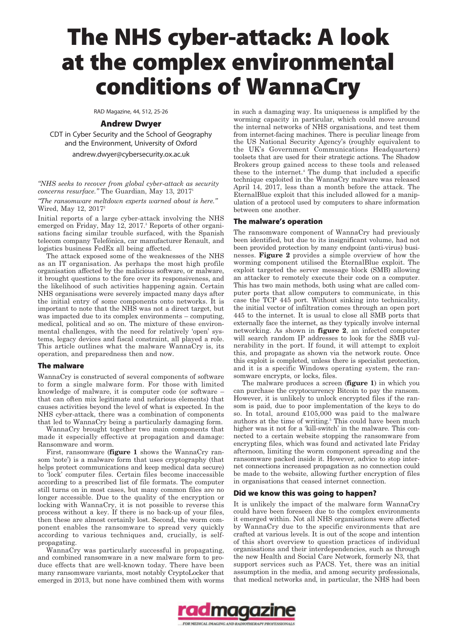# **The NHS cyber-attack: A look at the complex environmental conditions of WannaCry**

RAD Magazine, 44, 512, 25-26

## **Andrew Dwyer**

CDT in Cyber Security and the School of Geography and the Environment, University of Oxford

andrew.dwyer@cybersecurity.ox.ac.uk

*"NHS seeks to recover from global cyber-attack as security concerns resurface."* The Guardian, May 13, 2017<sup>1</sup>

*"The ransomware meltdown experts warned about is here."* Wired, May 12, 20172

Initial reports of a large cyber-attack involving the NHS emerged on Friday, May 12, 2017.<sup>3</sup> Reports of other organisations facing similar trouble surfaced, with the Spanish telecom company Telefónica, car manufacturer Renault, and logistics business FedEx all being affected.

The attack exposed some of the weaknesses of the NHS as an IT organisation. As perhaps the most high profile organisation affected by the malicious software, or malware, it brought questions to the fore over its responsiveness, and the likelihood of such activities happening again. Certain NHS organisations were severely impacted many days after the initial entry of some components onto networks. It is important to note that the NHS was not a direct target, but was impacted due to its complex environments – computing, medical, political and so on. The mixture of these environmental challenges, with the need for relatively 'open' systems, legacy devices and fiscal constraint, all played a role. This article outlines what the malware WannaCry is, its operation, and preparedness then and now.

## **The malware**

WannaCry is constructed of several components of software to form a single malware form. For those with limited knowledge of malware, it is computer code (or software – that can often mix legitimate and nefarious elements) that causes activities beyond the level of what is expected. In the NHS cyber-attack, there was a combination of components that led to WannaCry being a particularly damaging form.

WannaCry brought together two main components that made it especially effective at propagation and damage: Ransomware and worm.

First, ransomware (**figure 1** shows the WannaCry ransom 'note') is a malware form that uses cryptography (that helps protect communications and keep medical data secure) to 'lock' computer files. Certain files become inaccessible according to a prescribed list of file formats. The computer still turns on in most cases, but many common files are no longer accessible. Due to the quality of the encryption or locking with WannaCry, it is not possible to reverse this process without a key. If there is no back-up of your files, then these are almost certainly lost. Second, the worm component enables the ransomware to spread very quickly according to various techniques and, crucially, is selfpropagating.

WannaCry was particularly successful in propagating, and combined ransomware in a new malware form to produce effects that are well-known today. There have been many ransomware variants, most notably CryptoLocker that emerged in 2013, but none have combined them with worms in such a damaging way. Its uniqueness is amplified by the worming capacity in particular, which could move around the internal networks of NHS organisations, and test them from internet-facing machines. There is peculiar lineage from the US National Security Agency's (roughly equivalent to the UK's Government Communications Headquarters) toolsets that are used for their strategic actions. The Shadow Brokers group gained access to these tools and released these to the internet.4 The dump that included a specific technique exploited in the WannaCry malware was released April 14, 2017, less than a month before the attack. The EternalBlue exploit that this included allowed for a manipulation of a protocol used by computers to share information between one another.

#### **The malware's operation**

The ransomware component of WannaCry had previously been identified, but due to its insignificant volume, had not been provided protection by many endpoint (anti-virus) businesses. **Figure 2** provides a simple overview of how the worming component utilised the EternalBlue exploit. The exploit targeted the server message block (SMB) allowing an attacker to remotely execute their code on a computer. This has two main methods, both using what are called computer ports that allow computers to communicate, in this case the TCP 445 port. Without sinking into technicality, the initial vector of infiltration comes through an open port 445 to the internet. It is usual to close all SMB ports that externally face the internet, as they typically involve internal networking. As shown in **figure 2**, an infected computer will search random IP addresses to look for the SMB vulnerability in the port. If found, it will attempt to exploit this, and propagate as shown via the network route. Once this exploit is completed, unless there is specialist protection, and it is a specific Windows operating system, the ransomware encrypts, or locks, files.

The malware produces a screen (**figure 1**) in which you can purchase the cryptocurrency Bitcoin to pay the ransom. However, it is unlikely to unlock encrypted files if the ransom is paid, due to poor implementation of the keys to do so. In total, around £105,000 was paid to the malware authors at the time of writing.<sup>5</sup> This could have been much higher was it not for a 'kill-switch' in the malware. This connected to a certain website stopping the ransomware from encrypting files, which was found and activated late Friday afternoon, limiting the worm component spreading and the ransomware packed inside it. However, advice to stop internet connections increased propagation as no connection could be made to the website, allowing further encryption of files in organisations that ceased internet connection.

## **Did we know this was going to happen?**

It is unlikely the impact of the malware form WannaCry could have been foreseen due to the complex environments it emerged within. Not all NHS organisations were affected by WannaCry due to the specific environments that are crafted at various levels. It is out of the scope and intention of this short overview to question practices of individual organisations and their interdependencies, such as through the new Health and Social Care Network, formerly N3, that support services such as PACS. Yet, there was an initial assumption in the media, and among security professionals, that medical networks and, in particular, the NHS had been